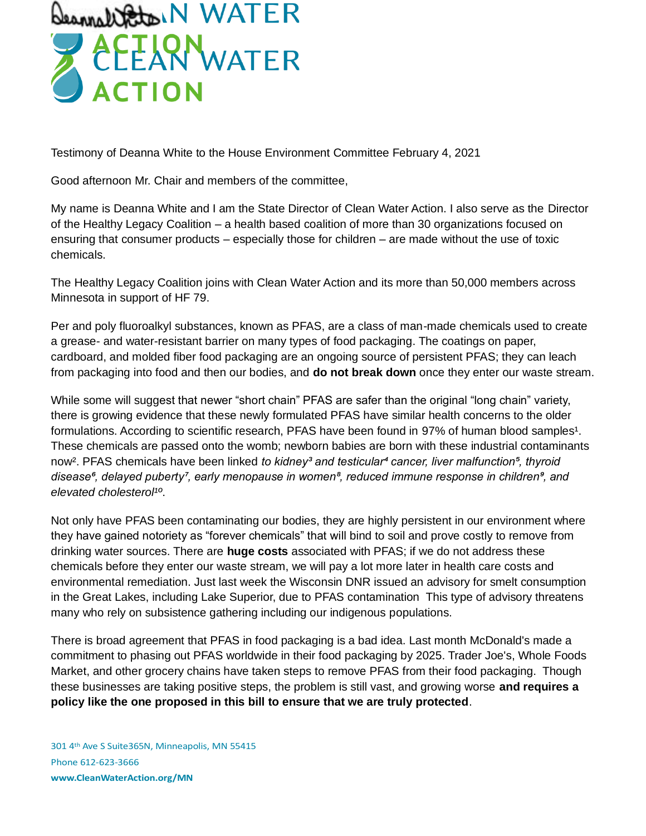

Testimony of Deanna White to the House Environment Committee February 4, 2021

Good afternoon Mr. Chair and members of the committee,

My name is Deanna White and I am the State Director of Clean Water Action. I also serve as the Director of the Healthy Legacy Coalition – a health based coalition of more than 30 organizations focused on ensuring that consumer products – especially those for children – are made without the use of toxic chemicals.

The Healthy Legacy Coalition joins with Clean Water Action and its more than 50,000 members across Minnesota in support of HF 79.

Per and poly fluoroalkyl substances, known as PFAS, are a class of man-made chemicals used to create a grease- and water-resistant barrier on many types of food packaging. The coatings on paper, cardboard, and molded fiber food packaging are an ongoing source of persistent PFAS; they can leach from packaging into food and then our bodies, and **do not break down** once they enter our waste stream.

While some will suggest that newer "short chain" PFAS are safer than the original "long chain" variety, there is growing evidence that these newly formulated PFAS have similar health concerns to the older formulations. According to scientific research, PFAS have been found in 97% of human blood samples<sup>1</sup>. These chemicals are passed onto the womb; newborn babies are born with these industrial contaminants now<sup>2</sup>. PFAS chemicals have been linked *to kidney<sup>3</sup> and testicular<sup>4</sup> cancer, liver malfunction<sup>5</sup>, thyroid disease⁶, delayed puberty⁷, early menopause in women⁸, reduced immune response in children⁹, and*  elevated cholesterol<sup>10</sup>.

Not only have PFAS been contaminating our bodies, they are highly persistent in our environment where they have gained notoriety as "forever chemicals" that will bind to soil and prove costly to remove from drinking water sources. There are **huge costs** associated with PFAS; if we do not address these chemicals before they enter our waste stream, we will pay a lot more later in health care costs and environmental remediation. Just last week the Wisconsin DNR issued an advisory for smelt consumption in the Great Lakes, including Lake Superior, due to PFAS contamination This type of advisory threatens many who rely on subsistence gathering including our indigenous populations.

There is broad agreement that PFAS in food packaging is a bad idea. Last month McDonald's made a commitment to phasing out PFAS worldwide in their food packaging by 2025. Trader Joe's, Whole Foods Market, and other grocery chains have taken steps to remove PFAS from their food packaging. Though these businesses are taking positive steps, the problem is still vast, and growing worse **and requires a policy like the one proposed in this bill to ensure that we are truly protected**.

301 4th Ave S Suite365N, Minneapolis, MN 55415 Phone 612-623-3666 **www.CleanWaterAction.org/MN**